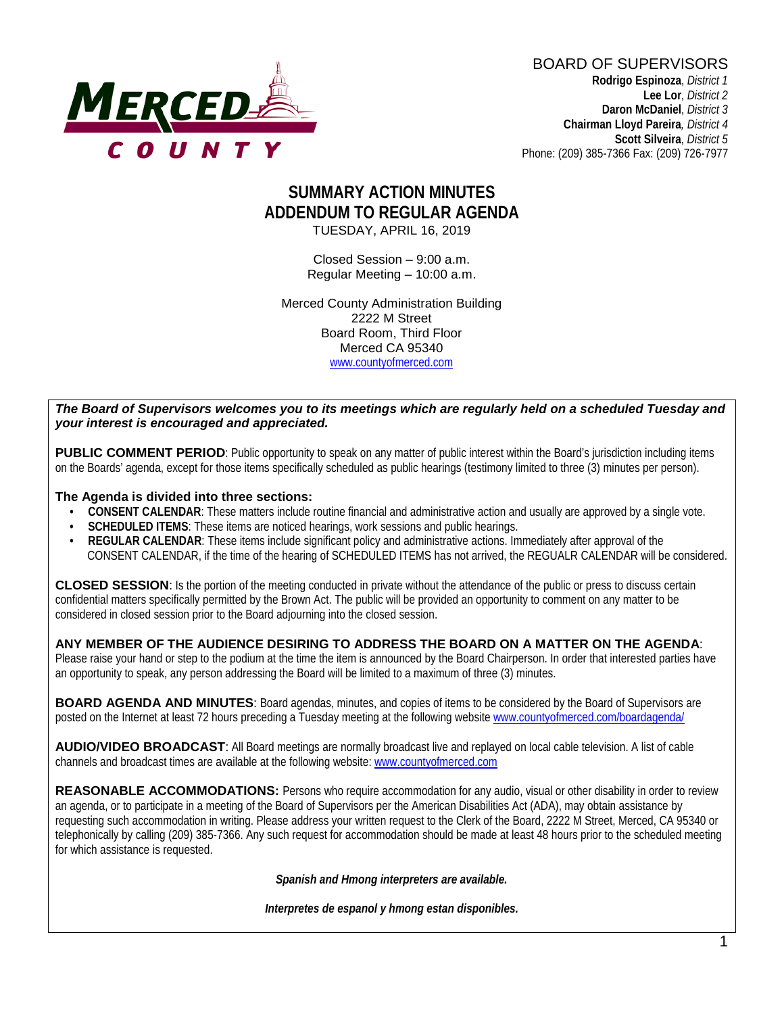

BOARD OF SUPERVISORS **Rodrigo Espinoza**, *District 1*  **Lee Lor**, *District 2*  **Daron McDaniel**, *District 3* **Chairman Lloyd Pareira***, District 4*  **Scott Silveira**, *District 5* Phone: (209) 385-7366 Fax: (209) 726-7977

## **SUMMARY ACTION MINUTES ADDENDUM TO REGULAR AGENDA** TUESDAY, APRIL 16, 2019

Closed Session – 9:00 a.m. Regular Meeting – 10:00 a.m.

Merced County Administration Building 2222 M Street Board Room, Third Floor Merced CA 95340 www.countyofmerced.com

*The Board of Supervisors welcomes you to its meetings which are regularly held on a scheduled Tuesday and your interest is encouraged and appreciated.*

**PUBLIC COMMENT PERIOD:** Public opportunity to speak on any matter of public interest within the Board's jurisdiction including items on the Boards' agenda, except for those items specifically scheduled as public hearings (testimony limited to three (3) minutes per person).

**The Agenda is divided into three sections:**

- **CONSENT CALENDAR**: These matters include routine financial and administrative action and usually are approved by a single vote.
- **SCHEDULED ITEMS:** These items are noticed hearings, work sessions and public hearings.
- **REGULAR CALENDAR:** These items include significant policy and administrative actions. Immediately after approval of the CONSENT CALENDAR, if the time of the hearing of SCHEDULED ITEMS has not arrived, the REGUALR CALENDAR will be considered.

**CLOSED SESSION**: Is the portion of the meeting conducted in private without the attendance of the public or press to discuss certain confidential matters specifically permitted by the Brown Act. The public will be provided an opportunity to comment on any matter to be considered in closed session prior to the Board adjourning into the closed session.

#### **ANY MEMBER OF THE AUDIENCE DESIRING TO ADDRESS THE BOARD ON A MATTER ON THE AGENDA**:

Please raise your hand or step to the podium at the time the item is announced by the Board Chairperson. In order that interested parties have an opportunity to speak, any person addressing the Board will be limited to a maximum of three (3) minutes.

**BOARD AGENDA AND MINUTES:** Board agendas, minutes, and copies of items to be considered by the Board of Supervisors are posted on the Internet at least 72 hours preceding a Tuesday meeting at the following website [www.countyofmerced.com/boardagenda/](http://www.countyofmerced.com/boardagenda/) 

**AUDIO/VIDEO BROADCAST**: All Board meetings are normally broadcast live and replayed on local cable television. A list of cable channels and broadcast times are available at the following website[: www.countyofmerced.com](http://www.countyofmerced.com/)

**REASONABLE ACCOMMODATIONS:** Persons who require accommodation for any audio, visual or other disability in order to review an agenda, or to participate in a meeting of the Board of Supervisors per the American Disabilities Act (ADA), may obtain assistance by requesting such accommodation in writing. Please address your written request to the Clerk of the Board, 2222 M Street, Merced, CA 95340 or telephonically by calling (209) 385-7366. Any such request for accommodation should be made at least 48 hours prior to the scheduled meeting for which assistance is requested.

*Spanish and Hmong interpreters are available.*

*Interpretes de espanol y hmong estan disponibles.*